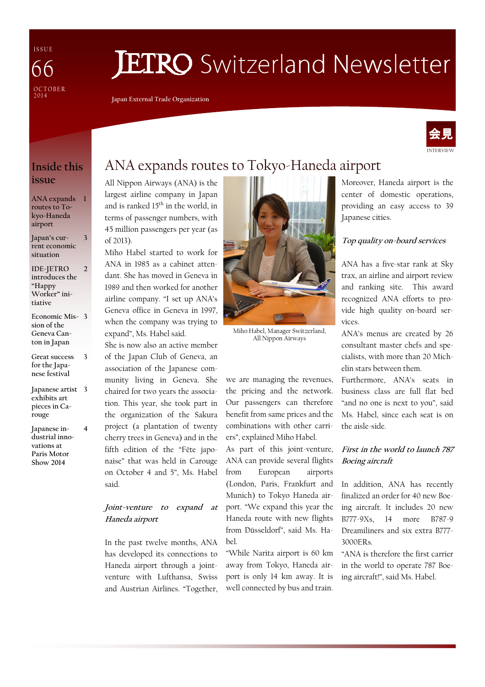I S S U E **OCTOBER** 2 0 1 4 66

# **JETRO** Switzerland Newsletter

Japan External Trade Organization



### Inside this issue

ANA expands 1 routes to Tokyo-Haneda airport

Japan's current economic situation 3

IDE-JETRO introduces the "Happy Worker" initiative  $\overline{\phantom{a}}$ 

Economic Mis-3 sion of the Geneva Canton in Japan

- Great success for the Japanese festival 3
- Japanese artist 3 exhibits art pieces in Carouge

4

Japanese industrial innovations at Paris Motor Show 2014

# ANA expands routes to Tokyo-Haneda airport

All Nippon Airways (ANA) is the largest airline company in Japan and is ranked 15<sup>th</sup> in the world, in terms of passenger numbers, with 45 million passengers per year (as of 2013).

Miho Habel started to work for ANA in 1985 as a cabinet attendant. She has moved in Geneva in 1989 and then worked for another airline company. "I set up ANA's Geneva office in Geneva in 1997, when the company was trying to expand", Ms. Habel said.

She is now also an active member of the Japan Club of Geneva, an association of the Japanese community living in Geneva. She chaired for two years the association. This year, she took part in the organization of the Sakura project (a plantation of twenty cherry trees in Geneva) and in the fifth edition of the "Fête japonaise" that was held in Carouge on October 4 and 5", Ms. Habel said.

#### Joint-venture to expand at Haneda airport

In the past twelve months, ANA has developed its connections to Haneda airport through a jointventure with Lufthansa, Swiss and Austrian Airlines. "Together,



Miho Habel, Manager Switzerland, All Nippon Airways

we are managing the revenues, the pricing and the network. Our passengers can therefore benefit from same prices and the combinations with other carriers", explained Miho Habel.

As part of this joint-venture, ANA can provide several flights from European airports (London, Paris, Frankfurt and Munich) to Tokyo Haneda airport. "We expand this year the Haneda route with new flights from Düsseldorf", said Ms. Habel.

"While Narita airport is 60 km away from Tokyo, Haneda airport is only 14 km away. It is well connected by bus and train.

Moreover, Haneda airport is the center of domestic operations, providing an easy access to 39 Japanese cities.

#### Top quality on-board services

ANA has a five-star rank at Sky trax, an airline and airport review and ranking site. This award recognized ANA efforts to provide high quality on-board services.

ANA's menus are created by 26 consultant master chefs and specialists, with more than 20 Michelin stars between them.

Furthermore, ANA's seats in business class are full flat bed "and no one is next to you", said Ms. Habel, since each seat is on the aisle-side.

#### First in the world to launch 787 Boeing aircraft

In addition, ANA has recently finalized an order for 40 new Boeing aircraft. It includes 20 new B777-9Xs, 14 more B787-9 Dreamiliners and six extra B777- 3000ERs.

"ANA is therefore the first carrier in the world to operate 787 Boeing aircraft!", said Ms. Habel.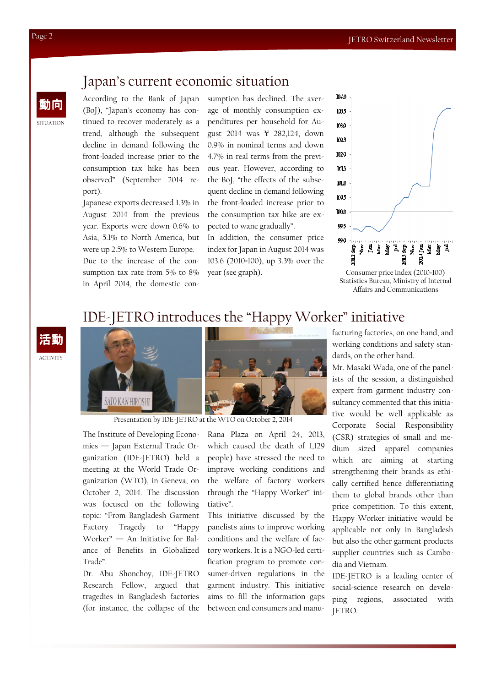#### Japan's current economic situation

According to the Bank of Japan (BoJ), "Japan's economy has continued to recover moderately as a trend, although the subsequent decline in demand following the front-loaded increase prior to the consumption tax hike has been observed" (September 2014 report).

Japanese exports decreased 1.3% in August 2014 from the previous year. Exports were down 0.6% to Asia, 5.1% to North America, but were up 2.5% to Western Europe. Due to the increase of the consumption tax rate from 5% to 8% in April 2014, the domestic consumption has declined. The average of monthly consumption expenditures per household for August 2014 was ¥ 282,124, down 0.9% in nominal terms and down 4.7% in real terms from the previous year. However, according to the BoJ, "the effects of the subsequent decline in demand following the front-loaded increase prior to the consumption tax hike are expected to wane gradually".

In addition, the consumer price index for Japan in August 2014 was 103.6 (2010=100), up 3.3% over the year (see graph). Consumer price index (2010=100)



Statistics Bureau, Ministry of Internal Affairs and Communications

## IDE-JETRO introduces the "Happy Worker" initiative





Presentation by IDE-JETRO at the WTO on October 2, 2014

The Institute of Developing Economies — Japan External Trade Organization (IDE-JETRO) held a meeting at the World Trade Organization (WTO), in Geneva, on October 2, 2014. The discussion was focused on the following topic: "From Bangladesh Garment Factory Tragedy to "Happy Worker" — An Initiative for Balance of Benefits in Globalized Trade".

Dr. Abu Shonchoy, IDE-JETRO Research Fellow, argued that tragedies in Bangladesh factories (for instance, the collapse of the Rana Plaza on April 24, 2013, which caused the death of 1,129 people) have stressed the need to improve working conditions and the welfare of factory workers through the "Happy Worker" initiative".

This initiative discussed by the panelists aims to improve working conditions and the welfare of factory workers. It is a NGO-led certification program to promote consumer-driven regulations in the garment industry. This initiative aims to fill the information gaps between end consumers and manufacturing factories, on one hand, and working conditions and safety standards, on the other hand.

Mr. Masaki Wada, one of the panelists of the session, a distinguished expert from garment industry consultancy commented that this initiative would be well applicable as Corporate Social Responsibility (CSR) strategies of small and medium sized apparel companies which are aiming at starting strengthening their brands as ethically certified hence differentiating them to global brands other than price competition. To this extent, Happy Worker initiative would be applicable not only in Bangladesh but also the other garment products supplier countries such as Cambodia and Vietnam.

IDE-JETRO is a leading center of social-science research on developing regions, associated with JETRO.

**SITUATION** 

動向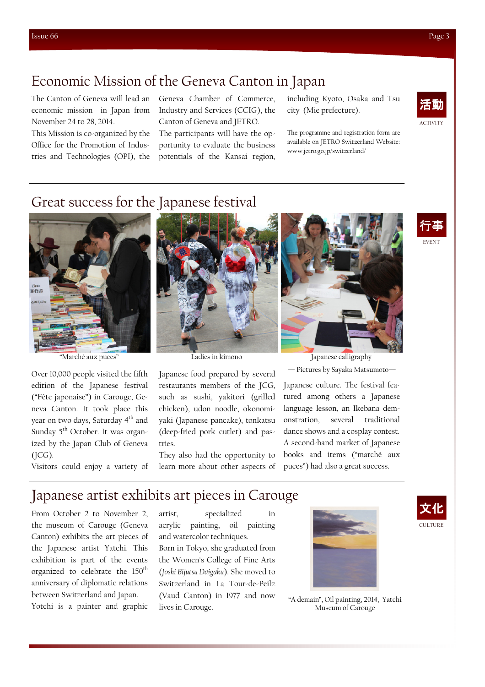## Economic Mission of the Geneva Canton in Japan

The Canton of Geneva will lead an economic mission in Japan from November 24 to 28, 2014.

This Mission is co-organized by the Office for the Promotion of Industries and Technologies (OPI), the

Geneva Chamber of Commerce, Industry and Services (CCIG), the Canton of Geneva and JETRO.

The participants will have the opportunity to evaluate the business potentials of the Kansai region,

including Kyoto, Osaka and Tsu city (Mie prefecture).

The programme and registration form are available on JETRO Switzerland Website: www.jetro.go.jp/switzerland/



# Great success for the Japanese festival



edition of the Japanese festival ("Fête japonaise") in Carouge, Geneva Canton. It took place this year on two days, Saturday 4<sup>th</sup> and Sunday 5<sup>th</sup> October. It was organized by the Japan Club of Geneva  $(ICG).$ 

Visitors could enjoy a variety of



Over 10,000 people visited the fifth  $\;$  Japanese food prepared by several  $\;$   $\;$   $\;$   $\;$  Pictures by Sayaka Matsumoto $\;$ restaurants members of the JCG, such as sushi, yakitori (grilled chicken), udon noodle, okonomiyaki (Japanese pancake), tonkatsu (deep-fried pork cutlet) and pastries.

> They also had the opportunity to learn more about other aspects of





Japanese culture. The festival featured among others a Japanese language lesson, an Ikebana demonstration, several traditional dance shows and a cosplay contest. A second-hand market of Japanese books and items ("marché aux puces") had also a great success.

## Japanese artist exhibits art pieces in Carouge

From October 2 to November 2, the museum of Carouge (Geneva Canton) exhibits the art pieces of the Japanese artist Yatchi. This exhibition is part of the events organized to celebrate the 150<sup>th</sup> anniversary of diplomatic relations between Switzerland and Japan.

Yotchi is a painter and graphic

artist, specialized in acrylic painting, oil painting and watercolor techniques. Born in Tokyo, she graduated from the Women's College of Fine Arts (Joshi Bijutsu Daigaku). She moved to Switzerland in La Tour-de-Peilz (Vaud Canton) in 1977 and now lives in Carouge.



"A demain", Oil painting, 2014, Yatchi Museum of Carouge



CULTURE

文化

行事